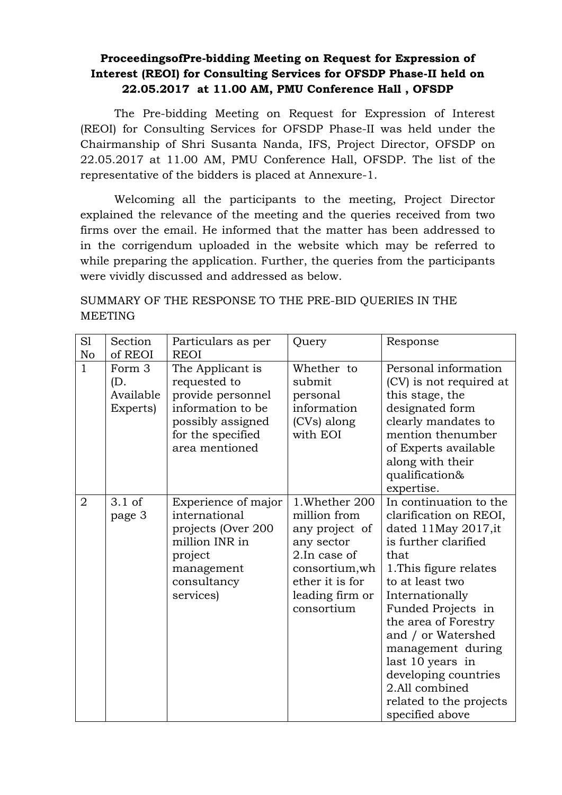## **ProceedingsofPre-bidding Meeting on Request for Expression of Interest (REOI) for Consulting Services for OFSDP Phase-II held on 22.05.2017 at 11.00 AM, PMU Conference Hall , OFSDP**

The Pre-bidding Meeting on Request for Expression of Interest (REOI) for Consulting Services for OFSDP Phase-II was held under the Chairmanship of Shri Susanta Nanda, IFS, Project Director, OFSDP on 22.05.2017 at 11.00 AM, PMU Conference Hall, OFSDP. The list of the representative of the bidders is placed at Annexure-1.

Welcoming all the participants to the meeting, Project Director explained the relevance of the meeting and the queries received from two firms over the email. He informed that the matter has been addressed to in the corrigendum uploaded in the website which may be referred to while preparing the application. Further, the queries from the participants were vividly discussed and addressed as below.

SUMMARY OF THE RESPONSE TO THE PRE-BID QUERIES IN THE MEETING

| S1<br>No       | Section<br>of REOI                     | Particulars as per<br><b>REOI</b>                                                                                                      | Query                                                                                                                                                | Response                                                                                                                                                                                                                                                                                                                                                                      |
|----------------|----------------------------------------|----------------------------------------------------------------------------------------------------------------------------------------|------------------------------------------------------------------------------------------------------------------------------------------------------|-------------------------------------------------------------------------------------------------------------------------------------------------------------------------------------------------------------------------------------------------------------------------------------------------------------------------------------------------------------------------------|
| $\mathbf{1}$   | Form 3<br>(D.<br>Available<br>Experts) | The Applicant is<br>requested to<br>provide personnel<br>information to be<br>possibly assigned<br>for the specified<br>area mentioned | Whether to<br>submit<br>personal<br>information<br>(CVs) along<br>with EOI                                                                           | Personal information<br>(CV) is not required at<br>this stage, the<br>designated form<br>clearly mandates to<br>mention thenumber<br>of Experts available<br>along with their<br>qualification&<br>expertise.                                                                                                                                                                 |
| $\overline{2}$ | $3.1$ of<br>page 3                     | Experience of major<br>international<br>projects (Over 200<br>million INR in<br>project<br>management<br>consultancy<br>services)      | 1. Whether 200<br>million from<br>any project of<br>any sector<br>2.In case of<br>consortium, wh<br>ether it is for<br>leading firm or<br>consortium | In continuation to the<br>clarification on REOI,<br>dated 11May 2017, it<br>is further clarified<br>that<br>1. This figure relates<br>to at least two<br>Internationally<br>Funded Projects in<br>the area of Forestry<br>and / or Watershed<br>management during<br>last 10 years in<br>developing countries<br>2.All combined<br>related to the projects<br>specified above |